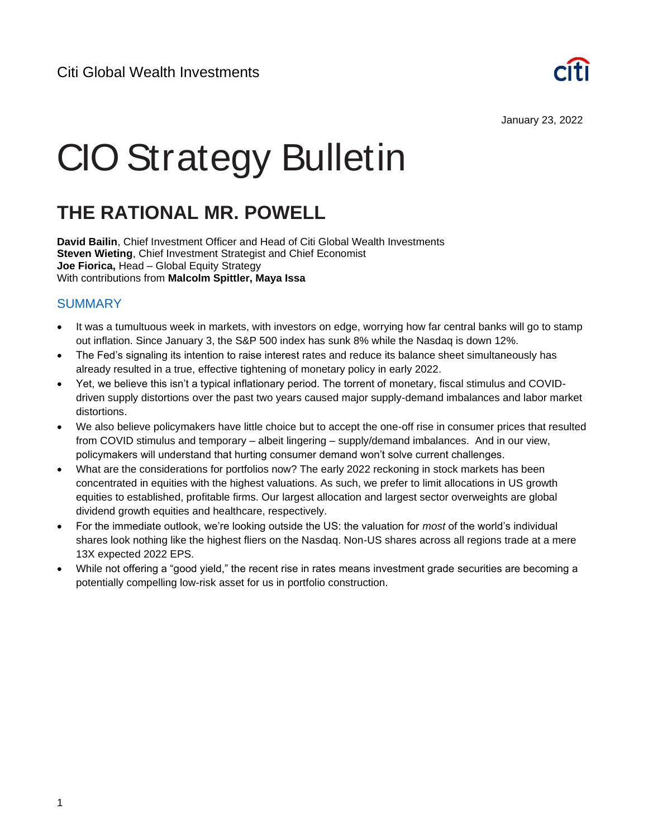

January 23, 2022

# CIO Strategy Bulletin

# **THE RATIONAL MR. POWELL**

**David Bailin**, Chief Investment Officer and Head of Citi Global Wealth Investments **Steven Wieting**, Chief Investment Strategist and Chief Economist **Joe Fiorica,** Head – Global Equity Strategy With contributions from **Malcolm Spittler, Maya Issa** 

#### **SUMMARY**

- It was a tumultuous week in markets, with investors on edge, worrying how far central banks will go to stamp out inflation. Since January 3, the S&P 500 index has sunk 8% while the Nasdaq is down 12%.
- The Fed's signaling its intention to raise interest rates and reduce its balance sheet simultaneously has already resulted in a true, effective tightening of monetary policy in early 2022.
- Yet, we believe this isn't a typical inflationary period. The torrent of monetary, fiscal stimulus and COVIDdriven supply distortions over the past two years caused major supply-demand imbalances and labor market distortions.
- We also believe policymakers have little choice but to accept the one-off rise in consumer prices that resulted from COVID stimulus and temporary – albeit lingering – supply/demand imbalances. And in our view, policymakers will understand that hurting consumer demand won't solve current challenges.
- What are the considerations for portfolios now? The early 2022 reckoning in stock markets has been concentrated in equities with the highest valuations. As such, we prefer to limit allocations in US growth equities to established, profitable firms. Our largest allocation and largest sector overweights are global dividend growth equities and healthcare, respectively.
- For the immediate outlook, we're looking outside the US: the valuation for *most* of the world's individual shares look nothing like the highest fliers on the Nasdaq. Non-US shares across all regions trade at a mere 13X expected 2022 EPS.
- While not offering a "good yield," the recent rise in rates means investment grade securities are becoming a potentially compelling low-risk asset for us in portfolio construction.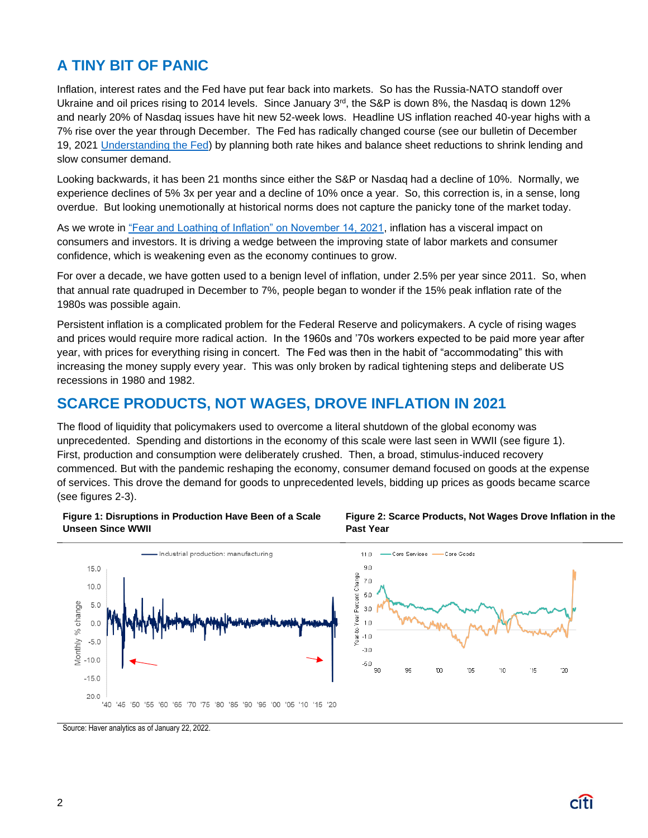# **A TINY BIT OF PANIC**

Inflation, interest rates and the Fed have put fear back into markets. So has the Russia-NATO standoff over Ukraine and oil prices rising to 2014 levels. Since January  $3<sup>rd</sup>$ , the S&P is down 8%, the Nasdaq is down 12% and nearly 20% of Nasdaq issues have hit new 52-week lows. Headline US inflation reached 40-year highs with a 7% rise over the year through December. The Fed has radically changed course (see our bulletin of December 19, 2021 [Understanding the Fed\)](https://www.privatebank.citibank.com/ivc/docs/quadrant/CIOBulletin_1219_final.pdf) by planning both rate hikes and balance sheet reductions to shrink lending and slow consumer demand.

Looking backwards, it has been 21 months since either the S&P or Nasdaq had a decline of 10%. Normally, we experience declines of 5% 3x per year and a decline of 10% once a year. So, this correction is, in a sense, long overdue. But looking unemotionally at historical norms does not capture the panicky tone of the market today.

As we wrote in ["Fear and Loathing of Inflation" on November 14, 2021,](https://www.privatebank.citibank.com/ivc/docs/quadrant/CIOBulletin111421_Final.pdf) inflation has a visceral impact on consumers and investors. It is driving a wedge between the improving state of labor markets and consumer confidence, which is weakening even as the economy continues to grow.

For over a decade, we have gotten used to a benign level of inflation, under 2.5% per year since 2011. So, when that annual rate quadruped in December to 7%, people began to wonder if the 15% peak inflation rate of the 1980s was possible again.

Persistent inflation is a complicated problem for the Federal Reserve and policymakers. A cycle of rising wages and prices would require more radical action. In the 1960s and '70s workers expected to be paid more year after year, with prices for everything rising in concert. The Fed was then in the habit of "accommodating" this with increasing the money supply every year. This was only broken by radical tightening steps and deliberate US recessions in 1980 and 1982.

## **SCARCE PRODUCTS, NOT WAGES, DROVE INFLATION IN 2021**

The flood of liquidity that policymakers used to overcome a literal shutdown of the global economy was unprecedented. Spending and distortions in the economy of this scale were last seen in WWII (see figure 1). First, production and consumption were deliberately crushed. Then, a broad, stimulus-induced recovery commenced. But with the pandemic reshaping the economy, consumer demand focused on goods at the expense of services. This drove the demand for goods to unprecedented levels, bidding up prices as goods became scarce (see figures 2-3).

#### **Figure 1: Disruptions in Production Have Been of a Scale Unseen Since WWII**





Source: Haver analytics as of January 22, 2022.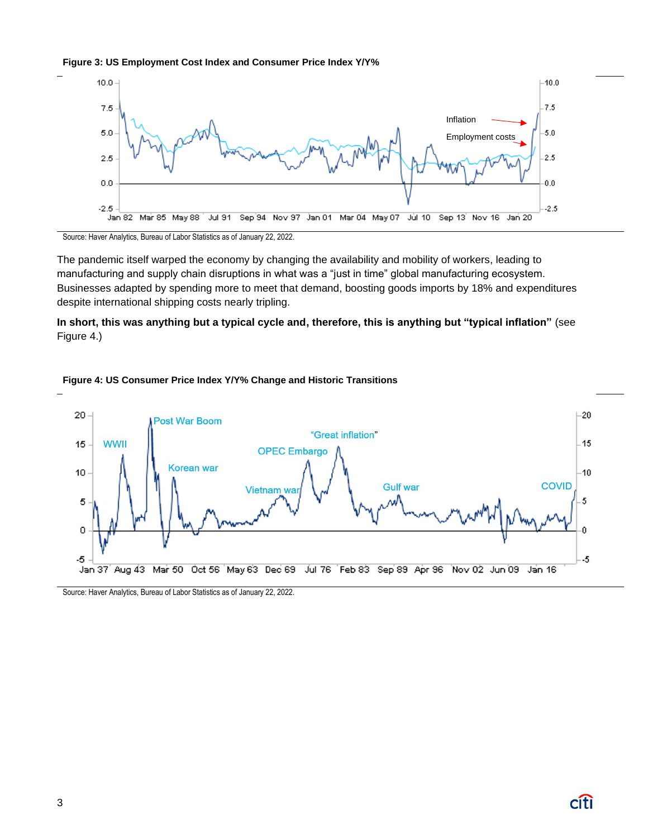



Source: Haver Analytics, Bureau of Labor Statistics as of January 22, 2022.

The pandemic itself warped the economy by changing the availability and mobility of workers, leading to manufacturing and supply chain disruptions in what was a "just in time" global manufacturing ecosystem. Businesses adapted by spending more to meet that demand, boosting goods imports by 18% and expenditures despite international shipping costs nearly tripling.

**In short, this was anything but a typical cycle and, therefore, this is anything but "typical inflation"** (see Figure 4.)



#### **Figure 4: US Consumer Price Index Y/Y% Change and Historic Transitions**

Source: Haver Analytics, Bureau of Labor Statistics as of January 22, 2022.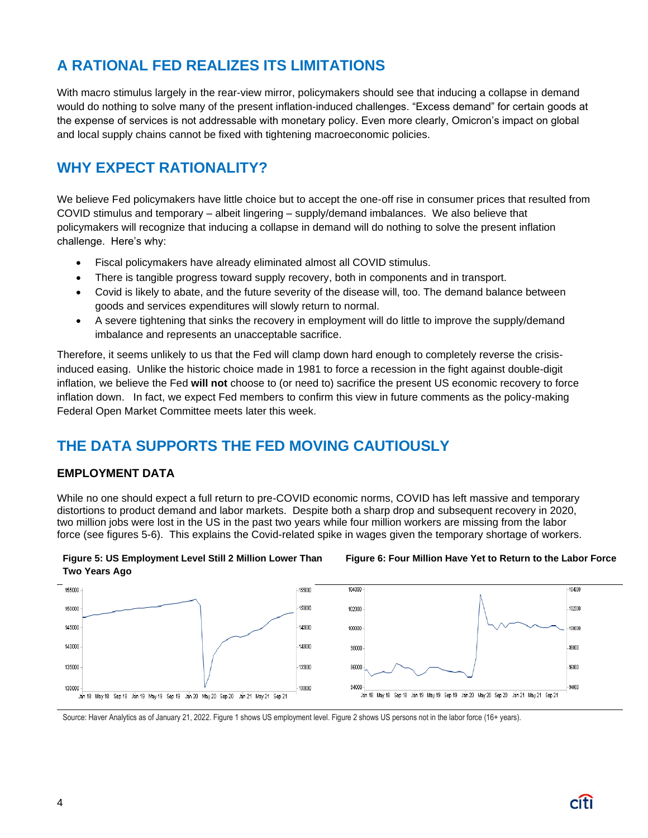# **A RATIONAL FED REALIZES ITS LIMITATIONS**

With macro stimulus largely in the rear-view mirror, policymakers should see that inducing a collapse in demand would do nothing to solve many of the present inflation-induced challenges. "Excess demand" for certain goods at the expense of services is not addressable with monetary policy. Even more clearly, Omicron's impact on global and local supply chains cannot be fixed with tightening macroeconomic policies.

# **WHY EXPECT RATIONALITY?**

We believe Fed policymakers have little choice but to accept the one-off rise in consumer prices that resulted from COVID stimulus and temporary – albeit lingering – supply/demand imbalances. We also believe that policymakers will recognize that inducing a collapse in demand will do nothing to solve the present inflation challenge. Here's why:

- Fiscal policymakers have already eliminated almost all COVID stimulus.
- There is tangible progress toward supply recovery, both in components and in transport.
- Covid is likely to abate, and the future severity of the disease will, too. The demand balance between goods and services expenditures will slowly return to normal.
- A severe tightening that sinks the recovery in employment will do little to improve the supply/demand imbalance and represents an unacceptable sacrifice.

Therefore, it seems unlikely to us that the Fed will clamp down hard enough to completely reverse the crisisinduced easing. Unlike the historic choice made in 1981 to force a recession in the fight against double-digit inflation, we believe the Fed **will not** choose to (or need to) sacrifice the present US economic recovery to force inflation down. In fact, we expect Fed members to confirm this view in future comments as the policy-making Federal Open Market Committee meets later this week.

# **THE DATA SUPPORTS THE FED MOVING CAUTIOUSLY**

#### **EMPLOYMENT DATA**

While no one should expect a full return to pre-COVID economic norms, COVID has left massive and temporary distortions to product demand and labor markets. Despite both a sharp drop and subsequent recovery in 2020, two million jobs were lost in the US in the past two years while four million workers are missing from the labor force (see figures 5-6). This explains the Covid-related spike in wages given the temporary shortage of workers.



#### **Figure 6: Four Million Have Yet to Return to the Labor Force**



Source: Haver Analytics as of January 21, 2022. Figure 1 shows US employment level. Figure 2 shows US persons not in the labor force (16+ years).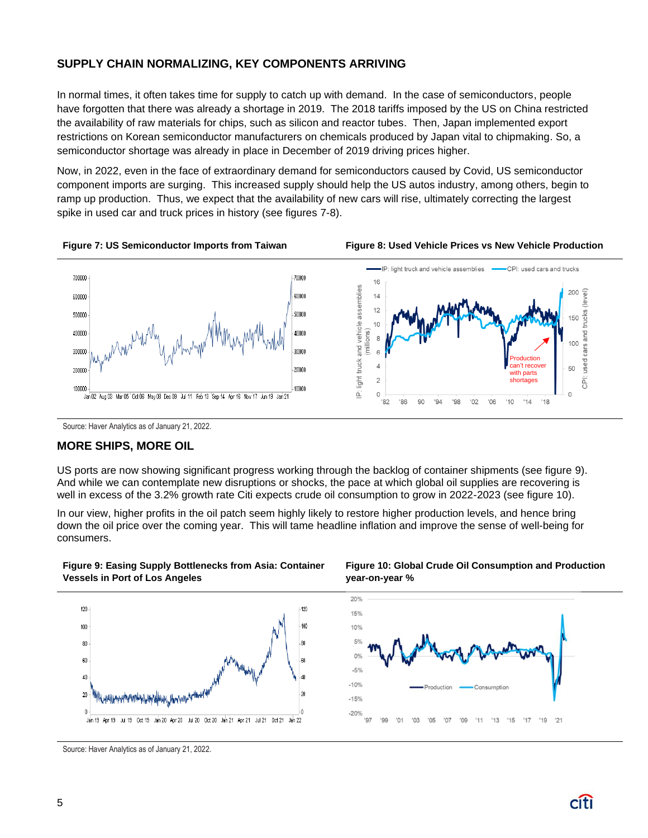#### **SUPPLY CHAIN NORMALIZING, KEY COMPONENTS ARRIVING**

In normal times, it often takes time for supply to catch up with demand. In the case of semiconductors, people have forgotten that there was already a shortage in 2019. The 2018 tariffs imposed by the US on China restricted the availability of raw materials for chips, such as silicon and reactor tubes. Then, Japan implemented export restrictions on Korean semiconductor manufacturers on chemicals produced by Japan vital to chipmaking. So, a semiconductor shortage was already in place in December of 2019 driving prices higher.

Now, in 2022, even in the face of extraordinary demand for semiconductors caused by Covid, US semiconductor component imports are surging. This increased supply should help the US autos industry, among others, begin to ramp up production. Thus, we expect that the availability of new cars will rise, ultimately correcting the largest spike in used car and truck prices in history (see figures 7-8).





Source: Haver Analytics as of January 21, 2022.

#### **MORE SHIPS, MORE OIL**

US ports are now showing significant progress working through the backlog of container shipments (see figure 9). And while we can contemplate new disruptions or shocks, the pace at which global oil supplies are recovering is well in excess of the 3.2% growth rate Citi expects crude oil consumption to grow in 2022-2023 (see figure 10).

In our view, higher profits in the oil patch seem highly likely to restore higher production levels, and hence bring down the oil price over the coming year. This will tame headline inflation and improve the sense of well-being for consumers.





**Figure 10: Global Crude Oil Consumption and Production year-on-year %**



Source: Haver Analytics as of January 21, 2022.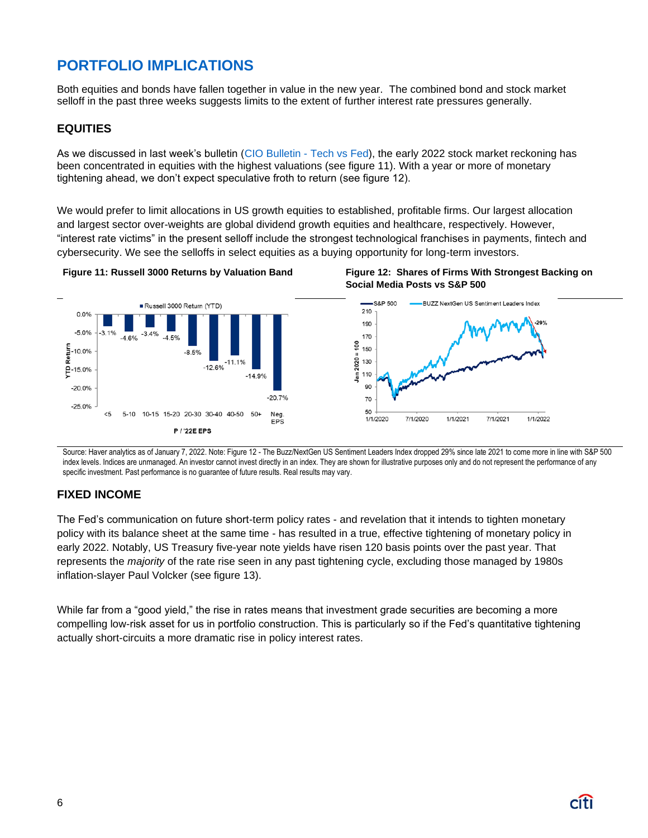# **PORTFOLIO IMPLICATIONS**

Both equities and bonds have fallen together in value in the new year. The combined bond and stock market selloff in the past three weeks suggests limits to the extent of further interest rate pressures generally.

#### **EQUITIES**

As we discussed in last week's bulletin [\(CIO Bulletin -](https://www.privatebank.citibank.com/ivc/docs/quadrant/CIOBulletin011622final3.pdf) Tech vs Fed), the early 2022 stock market reckoning has been concentrated in equities with the highest valuations (see figure 11). With a year or more of monetary tightening ahead, we don't expect speculative froth to return (see figure 12).

We would prefer to limit allocations in US growth equities to established, profitable firms. Our largest allocation and largest sector over-weights are global dividend growth equities and healthcare, respectively. However, "interest rate victims" in the present selloff include the strongest technological franchises in payments, fintech and cybersecurity. We see the selloffs in select equities as a buying opportunity for long-term investors.







Source: Haver analytics as of January 7, 2022. Note: Figure 12 - The Buzz/NextGen US Sentiment Leaders Index dropped 29% since late 2021 to come more in line with S&P 500 index levels. Indices are unmanaged. An investor cannot invest directly in an index. They are shown for illustrative purposes only and do not represent the performance of any specific investment. Past performance is no guarantee of future results. Real results may vary.

#### **FIXED INCOME**

The Fed's communication on future short-term policy rates - and revelation that it intends to tighten monetary policy with its balance sheet at the same time - has resulted in a true, effective tightening of monetary policy in early 2022. Notably, US Treasury five-year note yields have risen 120 basis points over the past year. That represents the *majority* of the rate rise seen in any past tightening cycle, excluding those managed by 1980s inflation-slayer Paul Volcker (see figure 13).

While far from a "good yield," the rise in rates means that investment grade securities are becoming a more compelling low-risk asset for us in portfolio construction. This is particularly so if the Fed's quantitative tightening actually short-circuits a more dramatic rise in policy interest rates.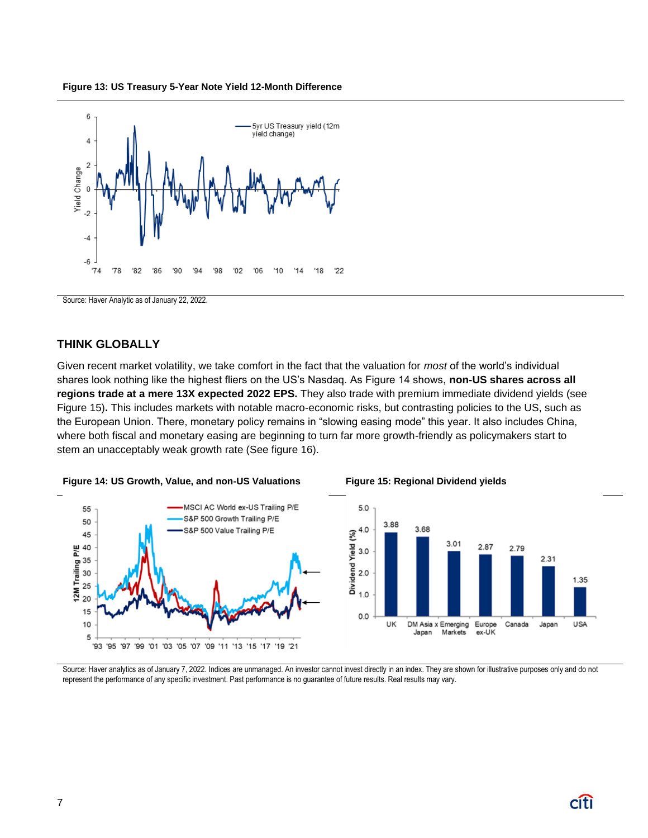



Source: Haver Analytic as of January 22, 2022.

#### **THINK GLOBALLY**

Given recent market volatility, we take comfort in the fact that the valuation for *most* of the world's individual shares look nothing like the highest fliers on the US's Nasdaq. As Figure 14 shows, **non-US shares across all regions trade at a mere 13X expected 2022 EPS.** They also trade with premium immediate dividend yields (see Figure 15)**.** This includes markets with notable macro-economic risks, but contrasting policies to the US, such as the European Union. There, monetary policy remains in "slowing easing mode" this year. It also includes China, where both fiscal and monetary easing are beginning to turn far more growth-friendly as policymakers start to stem an unacceptably weak growth rate (See figure 16).



Source: Haver analytics as of January 7, 2022. Indices are unmanaged. An investor cannot invest directly in an index. They are shown for illustrative purposes only and do not represent the performance of any specific investment. Past performance is no guarantee of future results. Real results may vary.

# **Figure 14: US Growth, Value, and non-US Valuations Figure 15: Regional Dividend yields**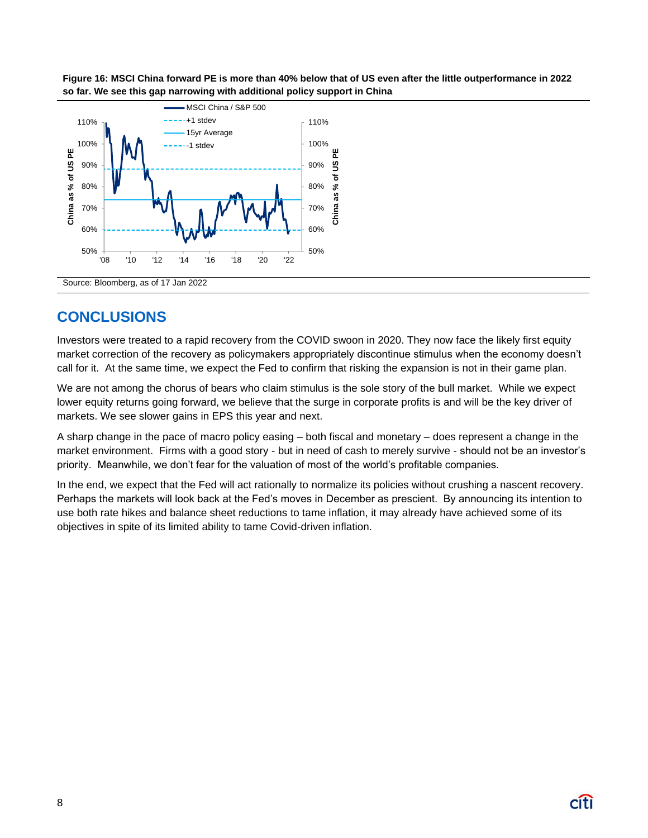



### **CONCLUSIONS**

Investors were treated to a rapid recovery from the COVID swoon in 2020. They now face the likely first equity market correction of the recovery as policymakers appropriately discontinue stimulus when the economy doesn't call for it. At the same time, we expect the Fed to confirm that risking the expansion is not in their game plan.

We are not among the chorus of bears who claim stimulus is the sole story of the bull market. While we expect lower equity returns going forward, we believe that the surge in corporate profits is and will be the key driver of markets. We see slower gains in EPS this year and next.

A sharp change in the pace of macro policy easing – both fiscal and monetary – does represent a change in the market environment. Firms with a good story - but in need of cash to merely survive - should not be an investor's priority. Meanwhile, we don't fear for the valuation of most of the world's profitable companies.

In the end, we expect that the Fed will act rationally to normalize its policies without crushing a nascent recovery. Perhaps the markets will look back at the Fed's moves in December as prescient. By announcing its intention to use both rate hikes and balance sheet reductions to tame inflation, it may already have achieved some of its objectives in spite of its limited ability to tame Covid-driven inflation.